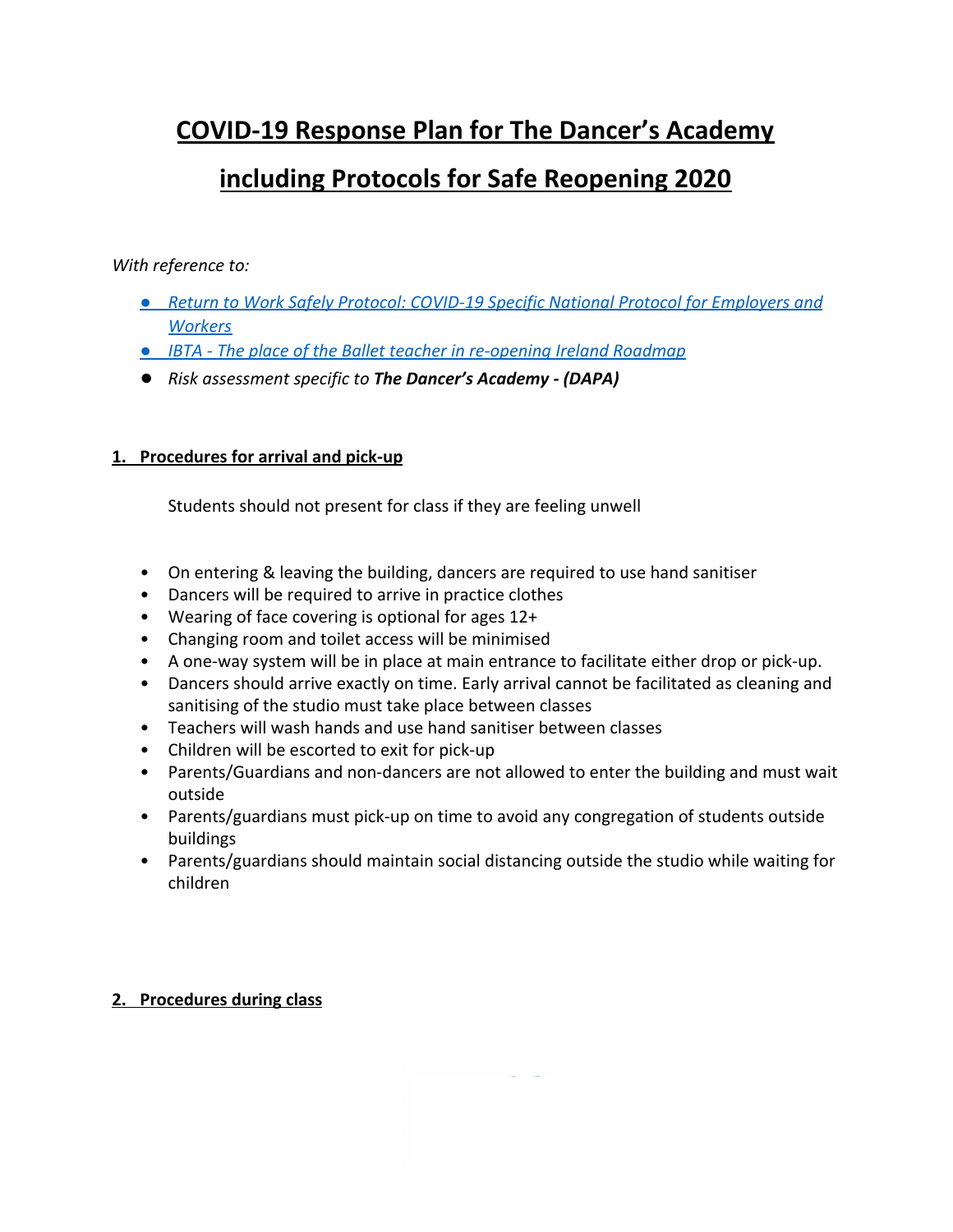# **COVID-19 Response Plan for The Dancer's Academy**

# including Protocols for Safe Reopening 2020

## With reference to:

- Return to Work Safely Protocol: COVID-19 Specific National Protocol for Employers and **Workers**
- IBTA The place of the Ballet teacher in re-opening Ireland Roadmap
- Risk assessment specific to The Dancer's Academy (DAPA)

## 1. Procedures for arrival and pick-up

Students should not present for class if they are feeling unwell

- On entering & leaving the building, dancers are required to use hand sanitiser
- Dancers will be required to arrive in practice clothes
- Wearing of face covering is optional for ages 12+
- Changing room and toilet access will be minimised
- A one-way system will be in place at main entrance to facilitate either drop or pick-up.
- Dancers should arrive exactly on time. Early arrival cannot be facilitated as cleaning and sanitising of the studio must take place between classes
- Teachers will wash hands and use hand sanitiser between classes
- Children will be escorted to exit for pick-up
- Parents/Guardians and non-dancers are not allowed to enter the building and must wait outside
- Parents/guardians must pick-up on time to avoid any congregation of students outside buildings
- Parents/guardians should maintain social distancing outside the studio while waiting for children

## 2. Procedures during class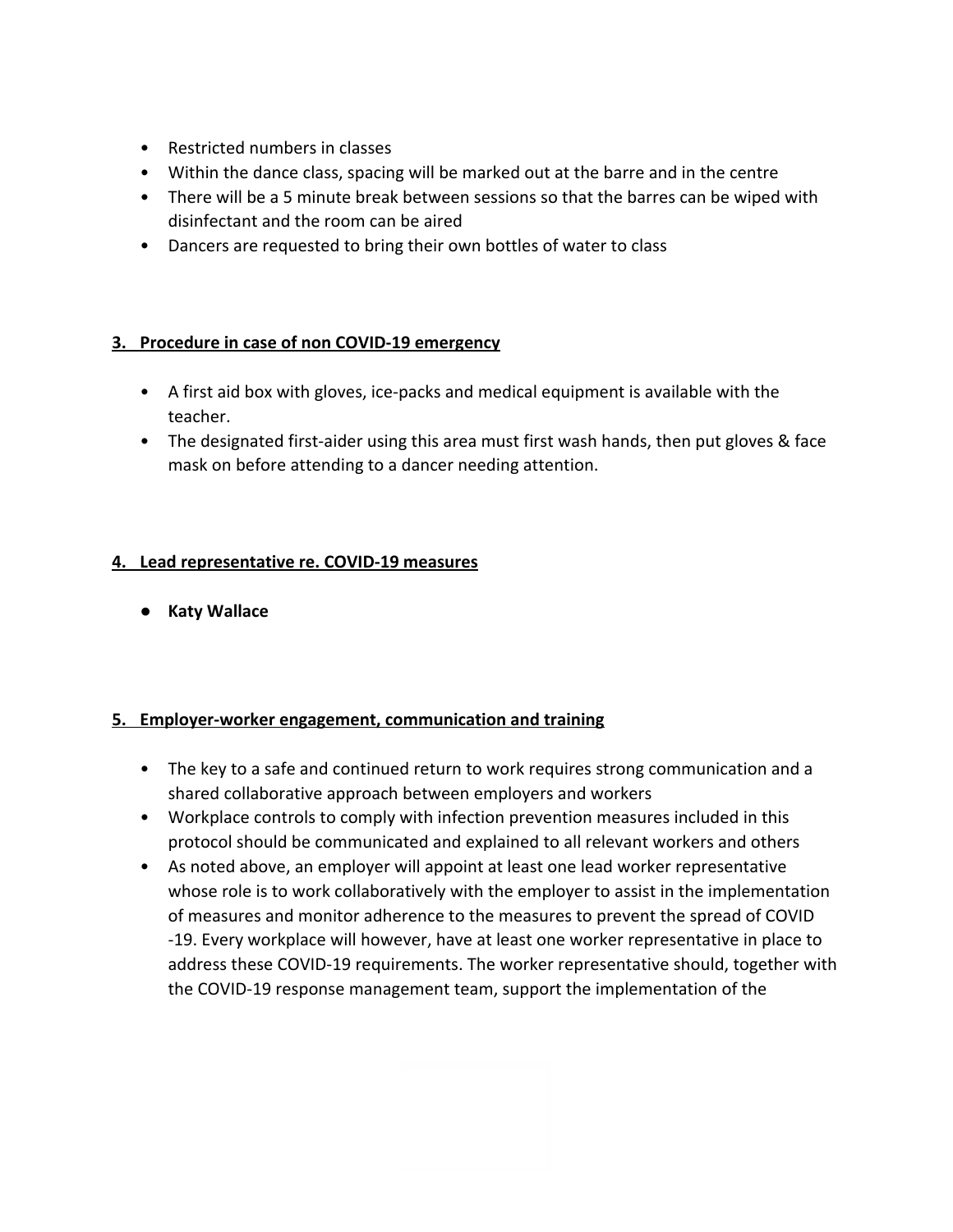- Restricted numbers in classes
- Within the dance class, spacing will be marked out at the barre and in the centre
- There will be a 5 minute break between sessions so that the barres can be wiped with disinfectant and the room can be aired
- Dancers are requested to bring their own bottles of water to class

## 3. Procedure in case of non COVID-19 emergency

- A first aid box with gloves, ice-packs and medical equipment is available with the teacher.
- The designated first-aider using this area must first wash hands, then put gloves & face mask on before attending to a dancer needing attention.

## 4. Lead representative re. COVID-19 measures

• Katy Wallace

## 5. Employer-worker engagement, communication and training

- The key to a safe and continued return to work requires strong communication and a shared collaborative approach between employers and workers
- Workplace controls to comply with infection prevention measures included in this protocol should be communicated and explained to all relevant workers and others
- As noted above, an employer will appoint at least one lead worker representative whose role is to work collaboratively with the employer to assist in the implementation of measures and monitor adherence to the measures to prevent the spread of COVID -19. Every workplace will however, have at least one worker representative in place to address these COVID-19 requirements. The worker representative should, together with the COVID-19 response management team, support the implementation of the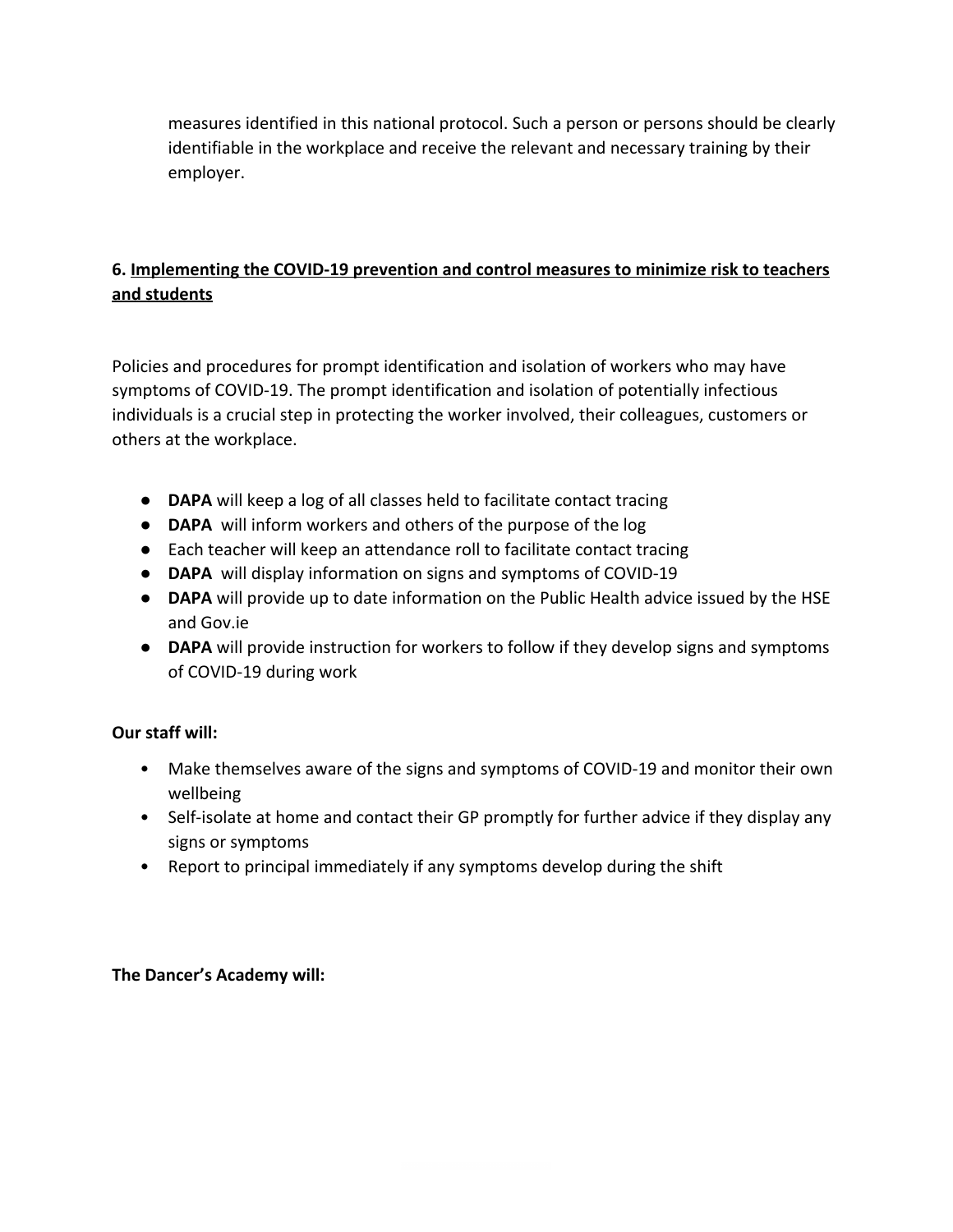measures identified in this national protocol. Such a person or persons should be clearly identifiable in the workplace and receive the relevant and necessary training by their employer.

# 6. Implementing the COVID-19 prevention and control measures to minimize risk to teachers and students

Policies and procedures for prompt identification and isolation of workers who may have symptoms of COVID-19. The prompt identification and isolation of potentially infectious individuals is a crucial step in protecting the worker involved, their colleagues, customers or others at the workplace.

- DAPA will keep a log of all classes held to facilitate contact tracing
- DAPA will inform workers and others of the purpose of the log
- Each teacher will keep an attendance roll to facilitate contact tracing
- DAPA will display information on signs and symptoms of COVID-19
- DAPA will provide up to date information on the Public Health advice issued by the HSE and Gov.ie
- DAPA will provide instruction for workers to follow if they develop signs and symptoms of COVID-19 during work

## Our staff will:

- Make themselves aware of the signs and symptoms of COVID-19 and monitor their own wellbeing
- Self-isolate at home and contact their GP promptly for further advice if they display any signs or symptoms
- Report to principal immediately if any symptoms develop during the shift

## The Dancer's Academy will: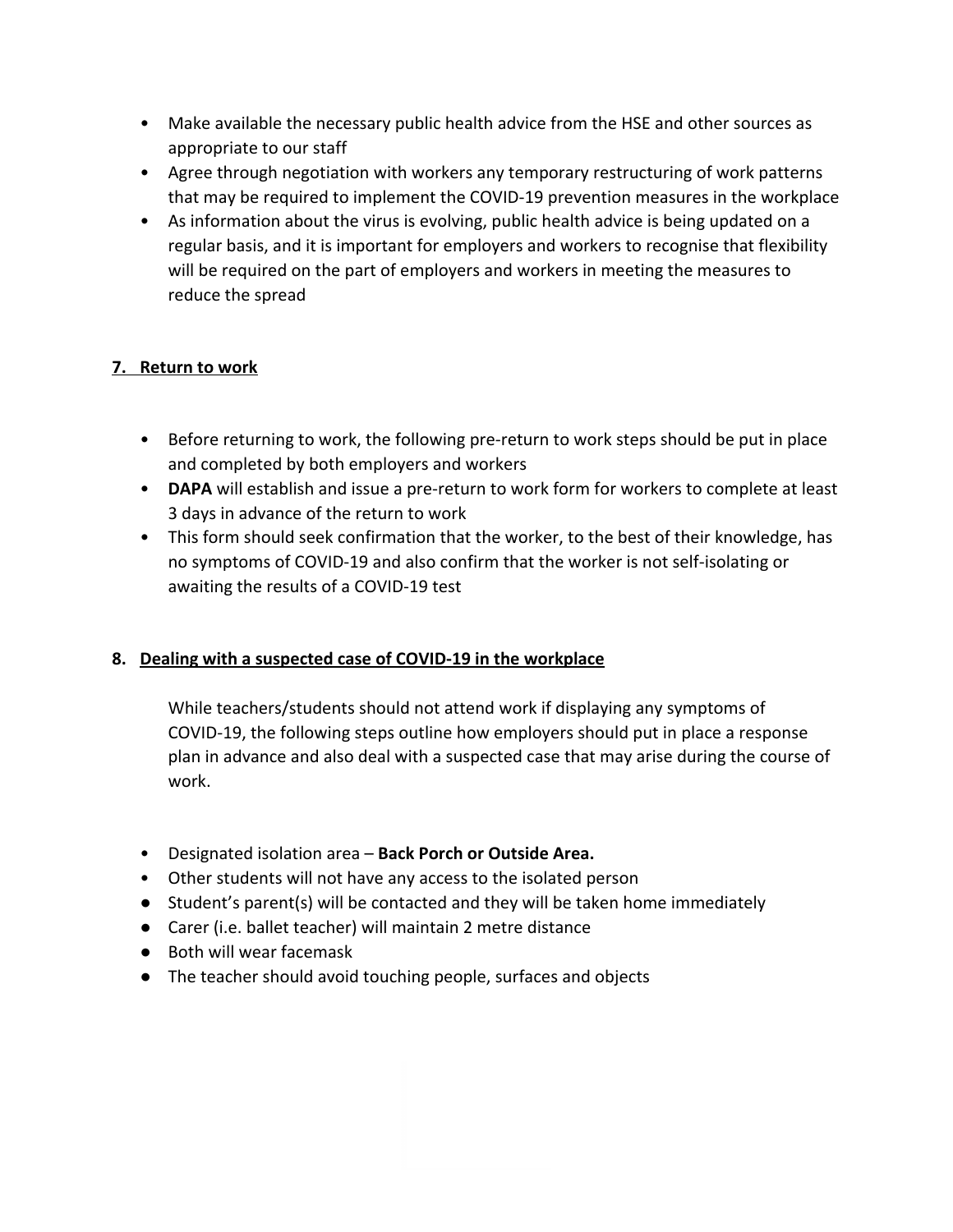- Make available the necessary public health advice from the HSE and other sources as appropriate to our staff
- Agree through negotiation with workers any temporary restructuring of work patterns that may be required to implement the COVID-19 prevention measures in the workplace
- As information about the virus is evolving, public health advice is being updated on a regular basis, and it is important for employers and workers to recognise that flexibility will be required on the part of employers and workers in meeting the measures to reduce the spread

# 7. Return to work

- Before returning to work, the following pre-return to work steps should be put in place and completed by both employers and workers
- DAPA will establish and issue a pre-return to work form for workers to complete at least 3 days in advance of the return to work
- This form should seek confirmation that the worker, to the best of their knowledge, has no symptoms of COVID-19 and also confirm that the worker is not self-isolating or awaiting the results of a COVID-19 test

# 8. Dealing with a suspected case of COVID-19 in the workplace

While teachers/students should not attend work if displaying any symptoms of COVID-19, the following steps outline how employers should put in place a response plan in advance and also deal with a suspected case that may arise during the course of work.

- Designated isolation area Back Porch or Outside Area.
- Other students will not have any access to the isolated person
- Student's parent(s) will be contacted and they will be taken home immediately
- Carer (i.e. ballet teacher) will maintain 2 metre distance
- Both will wear facemask
- The teacher should avoid touching people, surfaces and objects